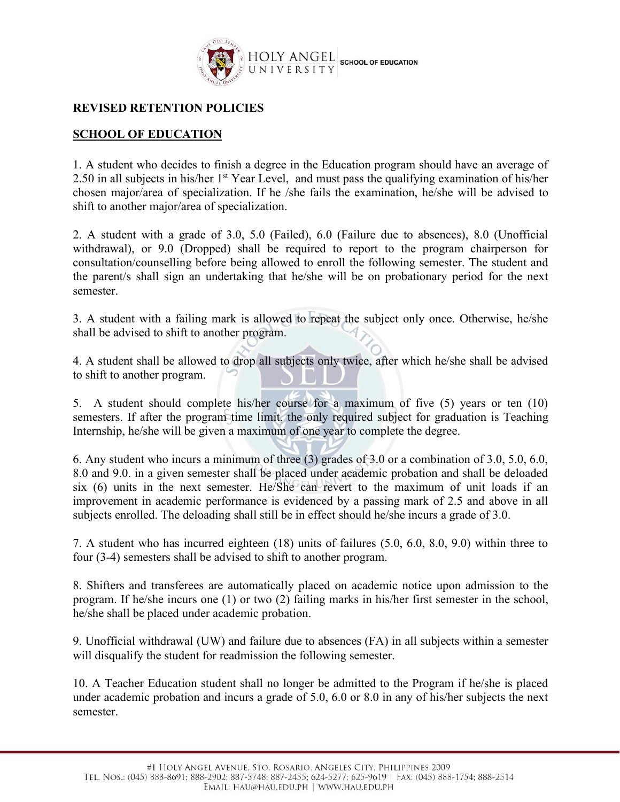

## **REVISED RETENTION POLICIES**

## **SCHOOL OF EDUCATION**

1. A student who decides to finish a degree in the Education program should have an average of 2.50 in all subjects in his/her 1<sup>st</sup> Year Level, and must pass the qualifying examination of his/her chosen major/area of specialization. If he /she fails the examination, he/she will be advised to shift to another major/area of specialization.

2. A student with a grade of 3.0, 5.0 (Failed), 6.0 (Failure due to absences), 8.0 (Unofficial withdrawal), or  $9.0$  (Dropped) shall be required to report to the program chairperson for consultation/counselling before being allowed to enroll the following semester. The student and the parent/s shall sign an undertaking that he/she will be on probationary period for the next semester.

3. A student with a failing mark is allowed to repeat the subject only once. Otherwise, he/she shall be advised to shift to another program.

4. A student shall be allowed to drop all subjects only twice, after which he/she shall be advised to shift to another program.

5. A student should complete his/her course for a maximum of five (5) years or ten (10) semesters. If after the program time limit, the only required subject for graduation is Teaching Internship, he/she will be given a maximum of one year to complete the degree.

6. Any student who incurs a minimum of three (3) grades of 3.0 or a combination of 3.0, 5.0, 6.0, 8.0 and 9.0. in a given semester shall be placed under academic probation and shall be deloaded six (6) units in the next semester. He/She can revert to the maximum of unit loads if an improvement in academic performance is evidenced by a passing mark of 2.5 and above in all subjects enrolled. The deloading shall still be in effect should he/she incurs a grade of 3.0.

7. A student who has incurred eighteen (18) units of failures (5.0, 6.0, 8.0, 9.0) within three to four (3-4) semesters shall be advised to shift to another program.

8. Shifters and transferees are automatically placed on academic notice upon admission to the program. If he/she incurs one (1) or two (2) failing marks in his/her first semester in the school, he/she shall be placed under academic probation.

9. Unofficial withdrawal (UW) and failure due to absences (FA) in all subjects within a semester will disqualify the student for readmission the following semester.

10. A Teacher Education student shall no longer be admitted to the Program if he/she isplaced under academic probation and incurs a grade of 5.0, 6.0 or 8.0 in any of his/her subjects the next semester.